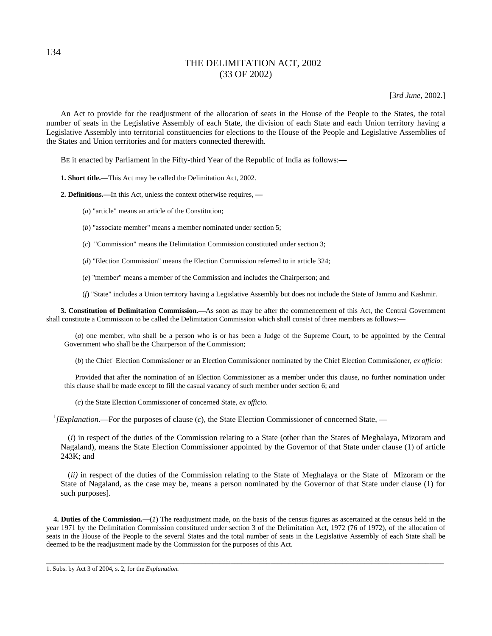# THE DELIMITATION ACT, 2002 (33 OF 2002)

[3*rd June*, 2002.]

An Act to provide for the readjustment of the allocation of seats in the House of the People to the States, the total number of seats in the Legislative Assembly of each State, the division of each State and each Union territory having a Legislative Assembly into territorial constituencies for elections to the House of the People and Legislative Assemblies of the States and Union territories and for matters connected therewith.

BE it enacted by Parliament in the Fifty-third Year of the Republic of India as follows:**—**

**1. Short title.—**This Act may be called the Delimitation Act, 2002.

**2. Definitions.—**In this Act, unless the context otherwise requires, **—**

- (*a*) "article" means an article of the Constitution;
- (*b*) "associate member" means a member nominated under section 5;
- (*c*) "Commission" means the Delimitation Commission constituted under section 3;
- (*d*) "Election Commission" means the Election Commission referred to in article 324;
- (*e*) "member" means a member of the Commission and includes the Chairperson; and
- (*f*) "State" includes a Union territory having a Legislative Assembly but does not include the State of Jammu and Kashmir.

**3. Constitution of Delimitation Commission.—**As soon as may be after the commencement of this Act, the Central Government shall constitute a Commission to be called the Delimitation Commission which shall consist of three members as follows:**—**

(*a*) one member, who shall be a person who is or has been a Judge of the Supreme Court, to be appointed by the Central Government who shall be the Chairperson of the Commission;

(*b*) the Chief Election Commissioner or an Election Commissioner nominated by the Chief Election Commissioner, *ex officio*:

Provided that after the nomination of an Election Commissioner as a member under this clause, no further nomination under this clause shall be made except to fill the casual vacancy of such member under section 6; and

(*c*) the State Election Commissioner of concerned State, *ex officio*.

<sup>1</sup>[Explanation.—For the purposes of clause (*c*), the State Election Commissioner of concerned State, —

(*i*) in respect of the duties of the Commission relating to a State (other than the States of Meghalaya, Mizoram and Nagaland), means the State Election Commissioner appointed by the Governor of that State under clause (1) of article 243K; and

(*ii)* in respect of the duties of the Commission relating to the State of Meghalaya or the State of Mizoram or the State of Nagaland, as the case may be, means a person nominated by the Governor of that State under clause (1) for such purposes].

**4. Duties of the Commission.—**(*1*) The readjustment made, on the basis of the census figures as ascertained at the census held in the year 1971 by the Delimitation Commission constituted under section 3 of the Delimitation Act, 1972 (76 of 1972), of the allocation of seats in the House of the People to the several States and the total number of seats in the Legislative Assembly of each State shall be deemed to be the readjustment made by the Commission for the purposes of this Act.

\_\_\_\_\_\_\_\_\_\_\_\_\_\_\_\_\_\_\_\_\_\_\_\_\_\_\_\_\_\_\_\_\_\_\_\_\_\_\_\_\_\_\_\_\_\_\_\_\_\_\_\_\_\_\_\_\_\_\_\_\_\_\_\_\_\_\_\_\_\_\_\_\_\_\_\_\_\_\_\_\_\_\_\_\_\_\_\_\_\_\_\_\_\_\_\_\_\_\_\_\_\_\_\_\_\_\_\_\_\_

1. Subs. by Act 3 of 2004, s. 2, for the *Explanation.* 

134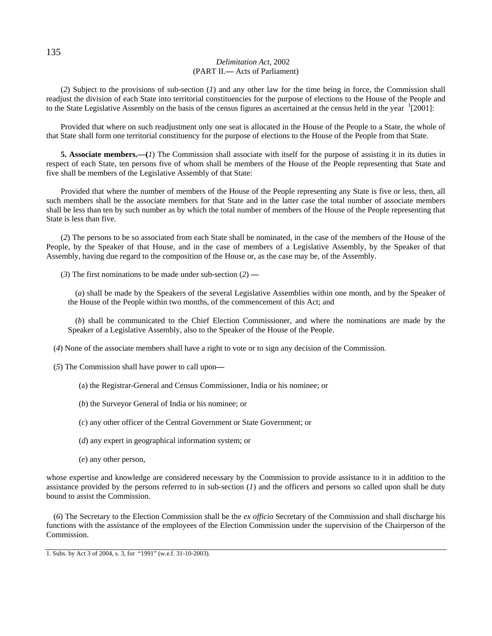## *Delimitation Act,* 2002 (PART II.**—** Acts of Parliament)

(*2*) Subject to the provisions of sub-section (*1*) and any other law for the time being in force, the Commission shall readjust the division of each State into territorial constituencies for the purpose of elections to the House of the People and to the State Legislative Assembly on the basis of the census figures as ascertained at the census held in the year  $\frac{1}{2001}$ :

Provided that where on such readjustment only one seat is allocated in the House of the People to a State, the whole of that State shall form one territorial constituency for the purpose of elections to the House of the People from that State.

**5. Associate members.—(***1***)** The Commission shall associate with itself for the purpose of assisting it in its duties in respect of each State, ten persons five of whom shall be members of the House of the People representing that State and five shall be members of the Legislative Assembly of that State:

Provided that where the number of members of the House of the People representing any State is five or less, then, all such members shall be the associate members for that State and in the latter case the total number of associate members shall be less than ten by such number as by which the total number of members of the House of the People representing that State is less than five.

(*2*) The persons to be so associated from each State shall be nominated, in the case of the members of the House of the People, by the Speaker of that House, and in the case of members of a Legislative Assembly, by the Speaker of that Assembly, having due regard to the composition of the House or, as the case may be, of the Assembly.

(*3*) The first nominations to be made under sub-section (*2*) **—**

(*a*) shall be made by the Speakers of the several Legislative Assemblies within one month, and by the Speaker of the House of the People within two months, of the commencement of this Act; and

(*b*) shall be communicated to the Chief Election Commissioner, and where the nominations are made by the Speaker of a Legislative Assembly, also to the Speaker of the House of the People.

(*4*) None of the associate members shall have a right to vote or to sign any decision of the Commission.

- (*5*) The Commission shall have power to call upon**—**
	- (a) the Registrar-General and Census Commissioner, India or his nominee; or
	- (*b*) the Surveyor General of India or his nominee; or
	- (*c*) any other officer of the Central Government or State Government; or
	- (*d*) any expert in geographical information system; or
	- (*e*) any other person,

whose expertise and knowledge are considered necessary by the Commission to provide assistance to it in addition to the assistance provided by the persons referred to in sub-section  $(I)$  and the officers and persons so called upon shall be duty bound to assist the Commission.

(*6*) The Secretary to the Election Commission shall be the *ex officio* Secretary of the Commission and shall discharge his functions with the assistance of the employees of the Election Commission under the supervision of the Chairperson of the Commission.

<sup>1.</sup> Subs. by Act 3 of 2004, s. 3, for "1991" (w.e.f. 31-10-2003).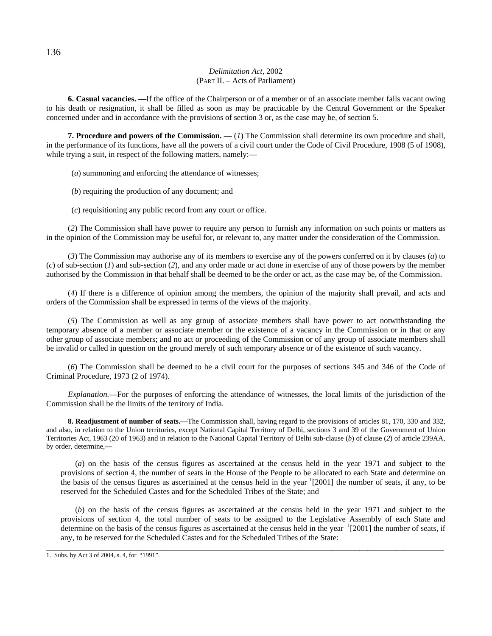### *Delimitation Act,* 2002 (PART II. – Acts of Parliament)

**6. Casual vacancies.** —If the office of the Chairperson or of a member or of an associate member falls vacant owing to his death or resignation, it shall be filled as soon as may be practicable by the Central Government or the Speaker concerned under and in accordance with the provisions of section 3 or, as the case may be, of section 5.

**7. Procedure and powers of the Commission. —** (*1*) The Commission shall determine its own procedure and shall, in the performance of its functions, have all the powers of a civil court under the Code of Civil Procedure, 1908 (5 of 1908), while trying a suit, in respect of the following matters, namely:**—**

(*a*) summoning and enforcing the attendance of witnesses;

(*b*) requiring the production of any document; and

(*c*) requisitioning any public record from any court or office.

(*2*) The Commission shall have power to require any person to furnish any information on such points or matters as in the opinion of the Commission may be useful for, or relevant to, any matter under the consideration of the Commission.

(*3*) The Commission may authorise any of its members to exercise any of the powers conferred on it by clauses (*a*) to (*c*) of sub-section (*1*) and sub-section (*2*), and any order made or act done in exercise of any of those powers by the member authorised by the Commission in that behalf shall be deemed to be the order or act, as the case may be, of the Commission.

(*4*) If there is a difference of opinion among the members, the opinion of the majority shall prevail, and acts and orders of the Commission shall be expressed in terms of the views of the majority.

(*5*) The Commission as well as any group of associate members shall have power to act notwithstanding the temporary absence of a member or associate member or the existence of a vacancy in the Commission or in that or any other group of associate members; and no act or proceeding of the Commission or of any group of associate members shall be invalid or called in question on the ground merely of such temporary absence or of the existence of such vacancy.

(*6*) The Commission shall be deemed to be a civil court for the purposes of sections 345 and 346 of the Code of Criminal Procedure, 1973 (2 of 1974).

*Explanation.***—**For the purposes of enforcing the attendance of witnesses, the local limits of the jurisdiction of the Commission shall be the limits of the territory of India.

**8. Readjustment of number of seats.—**The Commission shall, having regard to the provisions of articles 81, 170, 330 and 332, and also, in relation to the Union territories, except National Capital Territory of Delhi, sections 3 and 39 of the Government of Union Territories Act, 1963 (20 of 1963) and in relation to the National Capital Territory of Delhi sub-clause (*b*) of clause (*2*) of article 239AA, by order, determine,**—**

(*a*) on the basis of the census figures as ascertained at the census held in the year 1971 and subject to the provisions of section 4, the number of seats in the House of the People to be allocated to each State and determine on the basis of the census figures as ascertained at the census held in the year  $(2001)$  the number of seats, if any, to be reserved for the Scheduled Castes and for the Scheduled Tribes of the State; and

(*b*) on the basis of the census figures as ascertained at the census held in the year 1971 and subject to the provisions of section 4, the total number of seats to be assigned to the Legislative Assembly of each State and determine on the basis of the census figures as ascertained at the census held in the year  $1$ [2001] the number of seats, if any, to be reserved for the Scheduled Castes and for the Scheduled Tribes of the State:

\_\_\_\_\_\_\_\_\_\_\_\_\_\_\_\_\_\_\_\_\_\_\_\_\_\_\_\_\_\_\_\_\_\_\_\_\_\_\_\_\_\_\_\_\_\_\_\_\_\_\_\_\_\_\_\_\_\_\_\_\_\_\_\_\_\_\_\_\_\_\_\_\_\_\_\_\_\_\_\_\_\_\_\_\_\_\_\_\_\_\_\_\_\_\_\_\_\_\_

1. Subs. by Act 3 of 2004, s. 4, for "1991".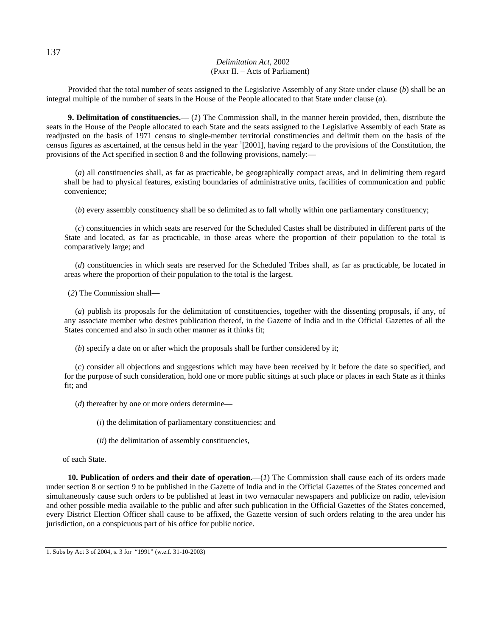## *Delimitation Act,* 2002 (PART II. – Acts of Parliament)

Provided that the total number of seats assigned to the Legislative Assembly of any State under clause (*b*) shall be an integral multiple of the number of seats in the House of the People allocated to that State under clause (*a*).

**9. Delimitation of constituencies.—** (*1*) The Commission shall, in the manner herein provided, then, distribute the seats in the House of the People allocated to each State and the seats assigned to the Legislative Assembly of each State as readjusted on the basis of 1971 census to single-member territorial constituencies and delimit them on the basis of the census figures as ascertained, at the census held in the year <sup>1</sup>[2001], having regard to the provisions of the Constitution, the provisions of the Act specified in section 8 and the following provisions, namely:**—**

(*a*) all constituencies shall, as far as practicable, be geographically compact areas, and in delimiting them regard shall be had to physical features, existing boundaries of administrative units, facilities of communication and public convenience;

(*b*) every assembly constituency shall be so delimited as to fall wholly within one parliamentary constituency;

(*c*) constituencies in which seats are reserved for the Scheduled Castes shall be distributed in different parts of the State and located, as far as practicable, in those areas where the proportion of their population to the total is comparatively large; and

(*d*) constituencies in which seats are reserved for the Scheduled Tribes shall, as far as practicable, be located in areas where the proportion of their population to the total is the largest.

(*2*) The Commission shall**—**

(*a*) publish its proposals for the delimitation of constituencies, together with the dissenting proposals, if any, of any associate member who desires publication thereof, in the Gazette of India and in the Official Gazettes of all the States concerned and also in such other manner as it thinks fit;

(*b*) specify a date on or after which the proposals shall be further considered by it;

(*c*) consider all objections and suggestions which may have been received by it before the date so specified, and for the purpose of such consideration, hold one or more public sittings at such place or places in each State as it thinks fit; and

(*d*) thereafter by one or more orders determine**—**

(*i*) the delimitation of parliamentary constituencies; and

(*ii*) the delimitation of assembly constituencies,

of each State.

**10. Publication of orders and their date of operation.—**(*1*) The Commission shall cause each of its orders made under section 8 or section 9 to be published in the Gazette of India and in the Official Gazettes of the States concerned and simultaneously cause such orders to be published at least in two vernacular newspapers and publicize on radio, television and other possible media available to the public and after such publication in the Official Gazettes of the States concerned, every District Election Officer shall cause to be affixed, the Gazette version of such orders relating to the area under his jurisdiction, on a conspicuous part of his office for public notice.

1. Subs by Act 3 of 2004, s. 3 for "1991" (w.e.f. 31-10-2003)